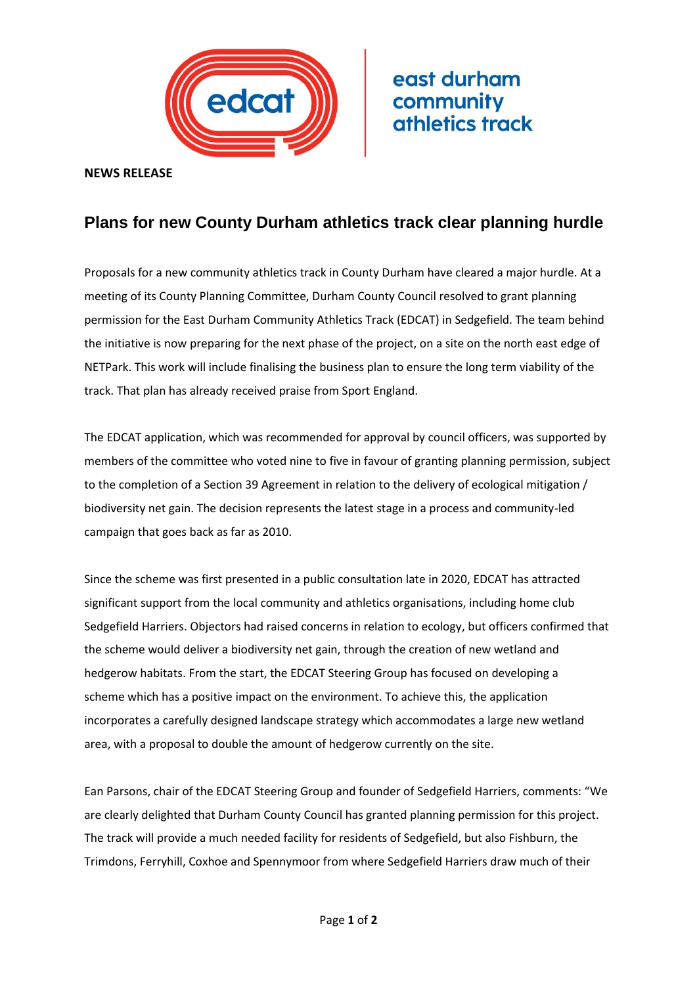

east durham community athletics track

**NEWS RELEASE**

## **Plans for new County Durham athletics track clear planning hurdle**

Proposals for a new community athletics track in County Durham have cleared a major hurdle. At a meeting of its County Planning Committee, Durham County Council resolved to grant planning permission for the East Durham Community Athletics Track (EDCAT) in Sedgefield. The team behind the initiative is now preparing for the next phase of the project, on a site on the north east edge of NETPark. This work will include finalising the business plan to ensure the long term viability of the track. That plan has already received praise from Sport England.

The EDCAT application, which was recommended for approval by council officers, was supported by members of the committee who voted nine to five in favour of granting planning permission, subject to the completion of a Section 39 Agreement in relation to the delivery of ecological mitigation / biodiversity net gain. The decision represents the latest stage in a process and community-led campaign that goes back as far as 2010.

Since the scheme was first presented in a public consultation late in 2020, EDCAT has attracted significant support from the local community and athletics organisations, including home club Sedgefield Harriers. Objectors had raised concerns in relation to ecology, but officers confirmed that the scheme would deliver a biodiversity net gain, through the creation of new wetland and hedgerow habitats. From the start, the EDCAT Steering Group has focused on developing a scheme which has a positive impact on the environment. To achieve this, the application incorporates a carefully designed landscape strategy which accommodates a large new wetland area, with a proposal to double the amount of hedgerow currently on the site.

Ean Parsons, chair of the EDCAT Steering Group and founder of Sedgefield Harriers, comments: "We are clearly delighted that Durham County Council has granted planning permission for this project. The track will provide a much needed facility for residents of Sedgefield, but also Fishburn, the Trimdons, Ferryhill, Coxhoe and Spennymoor from where Sedgefield Harriers draw much of their